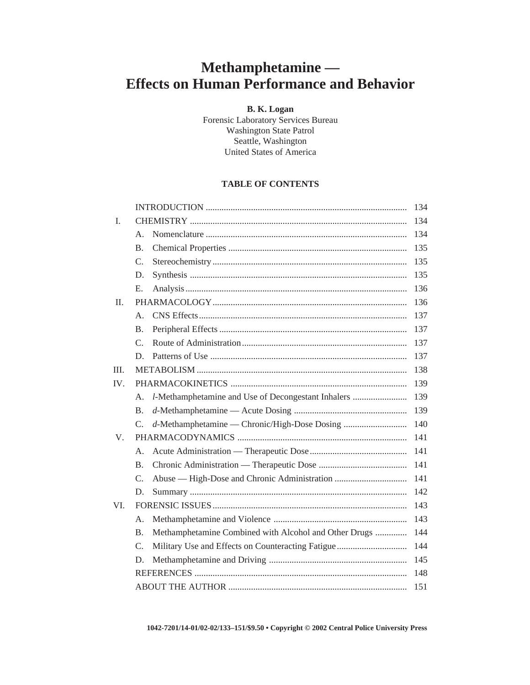# **Methamphetamine — Effects on Human Performance and Behavior**

## **B. K. Logan**

Forensic Laboratory Services Bureau Washington State Patrol Seattle, Washington United States of America

# **TABLE OF CONTENTS**

|         |                |                                                       | 134 |
|---------|----------------|-------------------------------------------------------|-----|
| I.      |                |                                                       | 134 |
|         | $\mathsf{A}$ . |                                                       | 134 |
|         | <b>B.</b>      |                                                       | 135 |
|         | $C_{\cdot}$    |                                                       | 135 |
|         | D.             |                                                       | 135 |
|         | E.             |                                                       | 136 |
| $\Pi$ . |                |                                                       | 136 |
|         | $\mathsf{A}$ . |                                                       | 137 |
|         | <b>B.</b>      |                                                       | 137 |
|         | $C_{\cdot}$    |                                                       | 137 |
|         | D.             |                                                       | 137 |
| III.    |                |                                                       | 138 |
| IV.     |                |                                                       | 139 |
|         | Α.             | l-Methamphetamine and Use of Decongestant Inhalers    | 139 |
|         | B.             |                                                       | 139 |
|         | C.             | d-Methamphetamine — Chronic/High-Dose Dosing          | 140 |
| V.      |                |                                                       | 141 |
|         | $\mathsf{A}$ . |                                                       | 141 |
|         | B.             |                                                       | 141 |
|         | C.             |                                                       | 141 |
|         | D.             |                                                       | 142 |
| VI.     |                |                                                       | 143 |
|         | A.             |                                                       | 143 |
|         | B.             | Methamphetamine Combined with Alcohol and Other Drugs | 144 |
|         | $C_{\cdot}$    |                                                       | 144 |
|         | D.             |                                                       | 145 |
|         |                |                                                       | 148 |
|         |                |                                                       | 151 |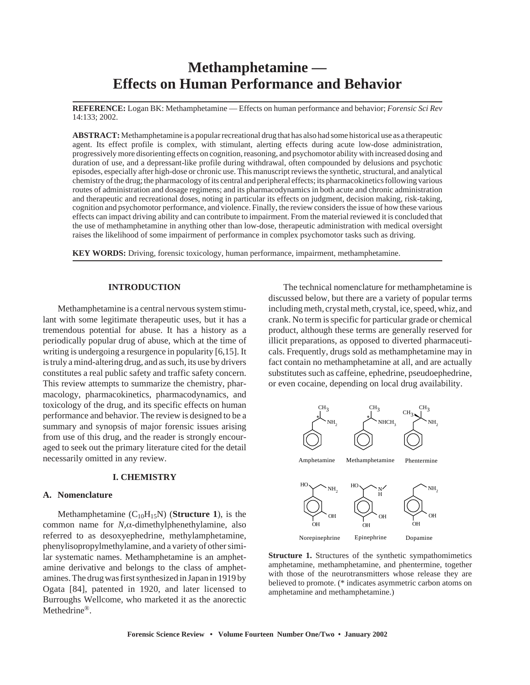# **Methamphetamine — Effects on Human Performance and Behavior**

**REFERENCE:** Logan BK: Methamphetamine — Effects on human performance and behavior; *Forensic Sci Rev* 14:133; 2002.

**ABSTRACT:**Methamphetamine is a popular recreational drug that has also had some historical use as a therapeutic agent. Its effect profile is complex, with stimulant, alerting effects during acute low-dose administration, progressively more disorienting effects on cognition, reasoning, and psychomotor ability with increased dosing and duration of use, and a depressant-like profile during withdrawal, often compounded by delusions and psychotic episodes, especially after high-dose or chronic use. This manuscript reviews the synthetic, structural, and analytical chemistry of the drug; the pharmacology of its central and peripheral effects; its pharmacokinetics following various routes of administration and dosage regimens; and its pharmacodynamics in both acute and chronic administration and therapeutic and recreational doses, noting in particular its effects on judgment, decision making, risk-taking, cognition and psychomotor performance, and violence. Finally, the review considers the issue of how these various effects can impact driving ability and can contribute to impairment. From the material reviewed it is concluded that the use of methamphetamine in anything other than low-dose, therapeutic administration with medical oversight raises the likelihood of some impairment of performance in complex psychomotor tasks such as driving.

**KEY WORDS:** Driving, forensic toxicology, human performance, impairment, methamphetamine.

#### **INTRODUCTION**

Methamphetamine is a central nervous system stimulant with some legitimate therapeutic uses, but it has a tremendous potential for abuse. It has a history as a periodically popular drug of abuse, which at the time of writing is undergoing a resurgence in popularity [6,15]. It is truly a mind-altering drug, and as such, its use by drivers constitutes a real public safety and traffic safety concern. This review attempts to summarize the chemistry, pharmacology, pharmacokinetics, pharmacodynamics, and toxicology of the drug, and its specific effects on human performance and behavior. The review is designed to be a summary and synopsis of major forensic issues arising from use of this drug, and the reader is strongly encouraged to seek out the primary literature cited for the detail necessarily omitted in any review.

## **I. CHEMISTRY**

#### **A. Nomenclature**

Methamphetamine  $(C_{10}H_{15}N)$  (**Structure 1**), is the common name for *N*,α-dimethylphenethylamine, also referred to as desoxyephedrine, methylamphetamine, phenylisopropylmethylamine, and a variety of other similar systematic names. Methamphetamine is an amphetamine derivative and belongs to the class of amphetamines. The drug was first synthesized in Japan in 1919 by Ogata [84], patented in 1920, and later licensed to Burroughs Wellcome, who marketed it as the anorectic Methedrine®.

The technical nomenclature for methamphetamine is discussed below, but there are a variety of popular terms including meth, crystal meth, crystal, ice, speed, whiz, and crank. No term is specific for particular grade or chemical product, although these terms are generally reserved for illicit preparations, as opposed to diverted pharmaceuticals. Frequently, drugs sold as methamphetamine may in fact contain no methamphetamine at all, and are actually substitutes such as caffeine, ephedrine, pseudoephedrine, or even cocaine, depending on local drug availability.



**Structure 1.** Structures of the synthetic sympathomimetics amphetamine, methamphetamine, and phentermine, together with those of the neurotransmitters whose release they are believed to promote. (\* indicates asymmetric carbon atoms on amphetamine and methamphetamine.)

**Forensic Science Review • Volume Fourteen Number One/Two • January 2002**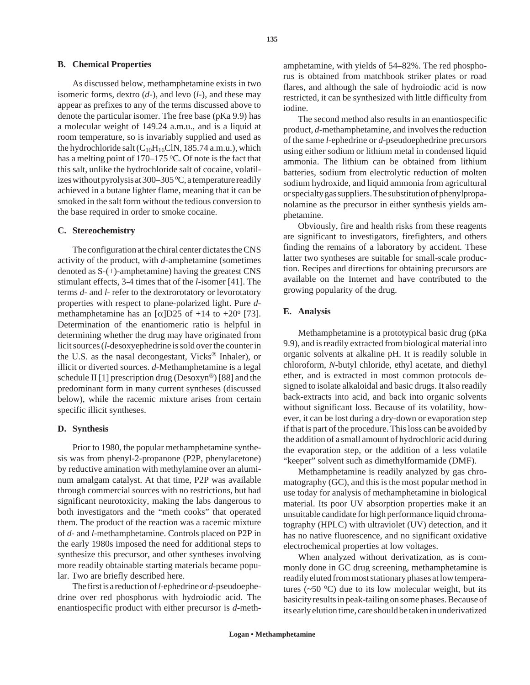#### **B. Chemical Properties**

As discussed below, methamphetamine exists in two isomeric forms, dextro (*d*-), and levo (*l*-), and these may appear as prefixes to any of the terms discussed above to denote the particular isomer. The free base (pKa 9.9) has a molecular weight of 149.24 a.m.u., and is a liquid at room temperature, so is invariably supplied and used as the hydrochloride salt  $(C_{10}H_{16}CIN, 185.74$  a.m.u.), which has a melting point of 170–175  $\degree$ C. Of note is the fact that this salt, unlike the hydrochloride salt of cocaine, volatilizes without pyrolysis at  $300-305$  °C, a temperature readily achieved in a butane lighter flame, meaning that it can be smoked in the salt form without the tedious conversion to the base required in order to smoke cocaine.

## **C. Stereochemistry**

The configuration at the chiral center dictates the CNS activity of the product, with *d*-amphetamine (sometimes denoted as S-(+)-amphetamine) having the greatest CNS stimulant effects, 3-4 times that of the *l*-isomer [41]. The terms *d*- and *l*- refer to the dextrorotatory or levorotatory properties with respect to plane-polarized light. Pure *d*methamphetamine has an  $\lceil \alpha \rceil$ D25 of +14 to +20° [73]. Determination of the enantiomeric ratio is helpful in determining whether the drug may have originated from licit sources (*l*-desoxyephedrine is sold over the counter in the U.S. as the nasal decongestant, Vicks® Inhaler), or illicit or diverted sources. *d*-Methamphetamine is a legal schedule II [1] prescription drug (Desoxyn®) [88] and the predominant form in many current syntheses (discussed below), while the racemic mixture arises from certain specific illicit syntheses.

## **D. Synthesis**

Prior to 1980, the popular methamphetamine synthesis was from phenyl-2-propanone (P2P, phenylacetone) by reductive amination with methylamine over an aluminum amalgam catalyst. At that time, P2P was available through commercial sources with no restrictions, but had significant neurotoxicity, making the labs dangerous to both investigators and the "meth cooks" that operated them. The product of the reaction was a racemic mixture of *d*- and *l*-methamphetamine. Controls placed on P2P in the early 1980s imposed the need for additional steps to synthesize this precursor, and other syntheses involving more readily obtainable starting materials became popular. Two are briefly described here.

The first is a reduction of *l*-ephedrine or *d*-pseudoephedrine over red phosphorus with hydroiodic acid. The enantiospecific product with either precursor is *d*-meth-

amphetamine, with yields of 54–82%. The red phosphorus is obtained from matchbook striker plates or road flares, and although the sale of hydroiodic acid is now restricted, it can be synthesized with little difficulty from iodine.

The second method also results in an enantiospecific product, *d*-methamphetamine, and involves the reduction of the same *l*-ephedrine or *d*-pseudoephedrine precursors using either sodium or lithium metal in condensed liquid ammonia. The lithium can be obtained from lithium batteries, sodium from electrolytic reduction of molten sodium hydroxide, and liquid ammonia from agricultural or specialty gas suppliers. The substitution of phenylpropanolamine as the precursor in either synthesis yields amphetamine.

Obviously, fire and health risks from these reagents are significant to investigators, firefighters, and others finding the remains of a laboratory by accident. These latter two syntheses are suitable for small-scale production. Recipes and directions for obtaining precursors are available on the Internet and have contributed to the growing popularity of the drug.

#### **E. Analysis**

Methamphetamine is a prototypical basic drug (pKa 9.9), and is readily extracted from biological material into organic solvents at alkaline pH. It is readily soluble in chloroform, *N*-butyl chloride, ethyl acetate, and diethyl ether, and is extracted in most common protocols designed to isolate alkaloidal and basic drugs. It also readily back-extracts into acid, and back into organic solvents without significant loss. Because of its volatility, however, it can be lost during a dry-down or evaporation step if that is part of the procedure. This loss can be avoided by the addition of a small amount of hydrochloric acid during the evaporation step, or the addition of a less volatile "keeper" solvent such as dimethylformamide (DMF).

Methamphetamine is readily analyzed by gas chromatography (GC), and this is the most popular method in use today for analysis of methamphetamine in biological material. Its poor UV absorption properties make it an unsuitable candidate for high performance liquid chromatography (HPLC) with ultraviolet (UV) detection, and it has no native fluorescence, and no significant oxidative electrochemical properties at low voltages.

When analyzed without derivatization, as is commonly done in GC drug screening, methamphetamine is readily eluted from most stationary phases at low temperatures ( $\sim$ 50 °C) due to its low molecular weight, but its basicity results in peak-tailing on some phases. Because of its early elution time, care should be taken in underivatized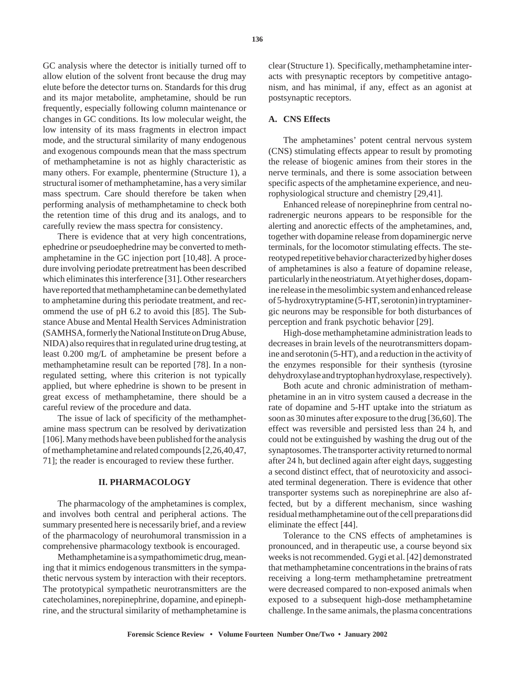GC analysis where the detector is initially turned off to allow elution of the solvent front because the drug may elute before the detector turns on. Standards for this drug and its major metabolite, amphetamine, should be run frequently, especially following column maintenance or changes in GC conditions. Its low molecular weight, the low intensity of its mass fragments in electron impact mode, and the structural similarity of many endogenous and exogenous compounds mean that the mass spectrum of methamphetamine is not as highly characteristic as many others. For example, phentermine (Structure 1), a structural isomer of methamphetamine, has a very similar mass spectrum. Care should therefore be taken when performing analysis of methamphetamine to check both the retention time of this drug and its analogs, and to carefully review the mass spectra for consistency.

There is evidence that at very high concentrations, ephedrine or pseudoephedrine may be converted to methamphetamine in the GC injection port [10,48]. A procedure involving periodate pretreatment has been described which eliminates this interference [31]. Other researchers have reported that methamphetamine can be demethylated to amphetamine during this periodate treatment, and recommend the use of pH 6.2 to avoid this [85]. The Substance Abuse and Mental Health Services Administration (SAMHSA, formerly the National Institute on Drug Abuse, NIDA) also requires that in regulated urine drug testing, at least 0.200 mg/L of amphetamine be present before a methamphetamine result can be reported [78]. In a nonregulated setting, where this criterion is not typically applied, but where ephedrine is shown to be present in great excess of methamphetamine, there should be a careful review of the procedure and data.

The issue of lack of specificity of the methamphetamine mass spectrum can be resolved by derivatization [106]. Many methods have been published for the analysis of methamphetamine and related compounds [2,26,40,47, 71]; the reader is encouraged to review these further.

## **II. PHARMACOLOGY**

The pharmacology of the amphetamines is complex, and involves both central and peripheral actions. The summary presented here is necessarily brief, and a review of the pharmacology of neurohumoral transmission in a comprehensive pharmacology textbook is encouraged.

Methamphetamine is a sympathomimetic drug, meaning that it mimics endogenous transmitters in the sympathetic nervous system by interaction with their receptors. The prototypical sympathetic neurotransmitters are the catecholamines, norepinephrine, dopamine, and epinephrine, and the structural similarity of methamphetamine is clear (Structure 1). Specifically, methamphetamine interacts with presynaptic receptors by competitive antagonism, and has minimal, if any, effect as an agonist at postsynaptic receptors.

## **A. CNS Effects**

The amphetamines' potent central nervous system (CNS) stimulating effects appear to result by promoting the release of biogenic amines from their stores in the nerve terminals, and there is some association between specific aspects of the amphetamine experience, and neurophysiological structure and chemistry [29,41].

Enhanced release of norepinephrine from central noradrenergic neurons appears to be responsible for the alerting and anorectic effects of the amphetamines, and, together with dopamine release from dopaminergic nerve terminals, for the locomotor stimulating effects. The stereotyped repetitive behavior characterized by higher doses of amphetamines is also a feature of dopamine release, particularly in the neostriatum. At yet higher doses, dopamine release in the mesolimbic system and enhanced release of 5-hydroxytryptamine (5-HT, serotonin) in tryptaminergic neurons may be responsible for both disturbances of perception and frank psychotic behavior [29].

High-dose methamphetamine administration leads to decreases in brain levels of the neurotransmitters dopamine and serotonin (5-HT), and a reduction in the activity of the enzymes responsible for their synthesis (tyrosine dehydroxylase and tryptophan hydroxylase, respectively).

Both acute and chronic administration of methamphetamine in an in vitro system caused a decrease in the rate of dopamine and 5-HT uptake into the striatum as soon as 30 minutes after exposure to the drug [36,60]. The effect was reversible and persisted less than 24 h, and could not be extinguished by washing the drug out of the synaptosomes. The transporter activity returned to normal after 24 h, but declined again after eight days, suggesting a second distinct effect, that of neurotoxicity and associated terminal degeneration. There is evidence that other transporter systems such as norepinephrine are also affected, but by a different mechanism, since washing residual methamphetamine out of the cell preparations did eliminate the effect [44].

Tolerance to the CNS effects of amphetamines is pronounced, and in therapeutic use, a course beyond six weeks is not recommended. Gygi et al. [42] demonstrated that methamphetamine concentrations in the brains of rats receiving a long-term methamphetamine pretreatment were decreased compared to non-exposed animals when exposed to a subsequent high-dose methamphetamine challenge. In the same animals, the plasma concentrations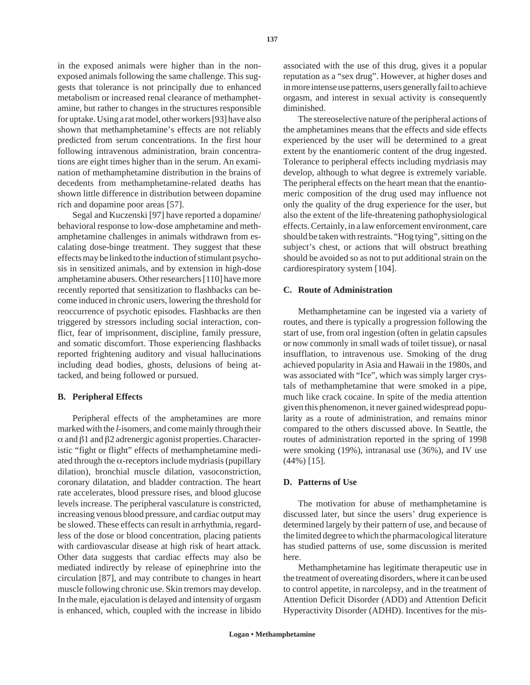in the exposed animals were higher than in the nonexposed animals following the same challenge. This suggests that tolerance is not principally due to enhanced metabolism or increased renal clearance of methamphetamine, but rather to changes in the structures responsible for uptake. Using a rat model, other workers [93] have also shown that methamphetamine's effects are not reliably predicted from serum concentrations. In the first hour following intravenous administration, brain concentrations are eight times higher than in the serum. An examination of methamphetamine distribution in the brains of decedents from methamphetamine-related deaths has shown little difference in distribution between dopamine rich and dopamine poor areas [57].

Segal and Kuczenski [97] have reported a dopamine/ behavioral response to low-dose amphetamine and methamphetamine challenges in animals withdrawn from escalating dose-binge treatment. They suggest that these effects may be linked to the induction of stimulant psychosis in sensitized animals, and by extension in high-dose amphetamine abusers. Other researchers [110] have more recently reported that sensitization to flashbacks can become induced in chronic users, lowering the threshold for reoccurrence of psychotic episodes. Flashbacks are then triggered by stressors including social interaction, conflict, fear of imprisonment, discipline, family pressure, and somatic discomfort. Those experiencing flashbacks reported frightening auditory and visual hallucinations including dead bodies, ghosts, delusions of being attacked, and being followed or pursued.

## **B. Peripheral Effects**

Peripheral effects of the amphetamines are more marked with the *l*-isomers, and come mainly through their α and β1 and β2 adrenergic agonist properties. Characteristic "fight or flight" effects of methamphetamine mediated through the  $\alpha$ -receptors include mydriasis (pupillary dilation), bronchial muscle dilation, vasoconstriction, coronary dilatation, and bladder contraction. The heart rate accelerates, blood pressure rises, and blood glucose levels increase. The peripheral vasculature is constricted, increasing venous blood pressure, and cardiac output may be slowed. These effects can result in arrhythmia, regardless of the dose or blood concentration, placing patients with cardiovascular disease at high risk of heart attack. Other data suggests that cardiac effects may also be mediated indirectly by release of epinephrine into the circulation [87], and may contribute to changes in heart muscle following chronic use. Skin tremors may develop. In the male, ejaculation is delayed and intensity of orgasm is enhanced, which, coupled with the increase in libido

associated with the use of this drug, gives it a popular reputation as a "sex drug". However, at higher doses and in more intense use patterns, users generally fail to achieve orgasm, and interest in sexual activity is consequently diminished.

The stereoselective nature of the peripheral actions of the amphetamines means that the effects and side effects experienced by the user will be determined to a great extent by the enantiomeric content of the drug ingested. Tolerance to peripheral effects including mydriasis may develop, although to what degree is extremely variable. The peripheral effects on the heart mean that the enantiomeric composition of the drug used may influence not only the quality of the drug experience for the user, but also the extent of the life-threatening pathophysiological effects. Certainly, in a law enforcement environment, care should be taken with restraints. "Hog tying", sitting on the subject's chest, or actions that will obstruct breathing should be avoided so as not to put additional strain on the cardiorespiratory system [104].

## **C. Route of Administration**

Methamphetamine can be ingested via a variety of routes, and there is typically a progression following the start of use, from oral ingestion (often in gelatin capsules or now commonly in small wads of toilet tissue), or nasal insufflation, to intravenous use. Smoking of the drug achieved popularity in Asia and Hawaii in the 1980s, and was associated with "Ice", which was simply larger crystals of methamphetamine that were smoked in a pipe, much like crack cocaine. In spite of the media attention given this phenomenon, it never gained widespread popularity as a route of administration, and remains minor compared to the others discussed above. In Seattle, the routes of administration reported in the spring of 1998 were smoking (19%), intranasal use (36%), and IV use (44%) [15].

## **D. Patterns of Use**

The motivation for abuse of methamphetamine is discussed later, but since the users' drug experience is determined largely by their pattern of use, and because of the limited degree to which the pharmacological literature has studied patterns of use, some discussion is merited here.

Methamphetamine has legitimate therapeutic use in the treatment of overeating disorders, where it can be used to control appetite, in narcolepsy, and in the treatment of Attention Deficit Disorder (ADD) and Attention Deficit Hyperactivity Disorder (ADHD). Incentives for the mis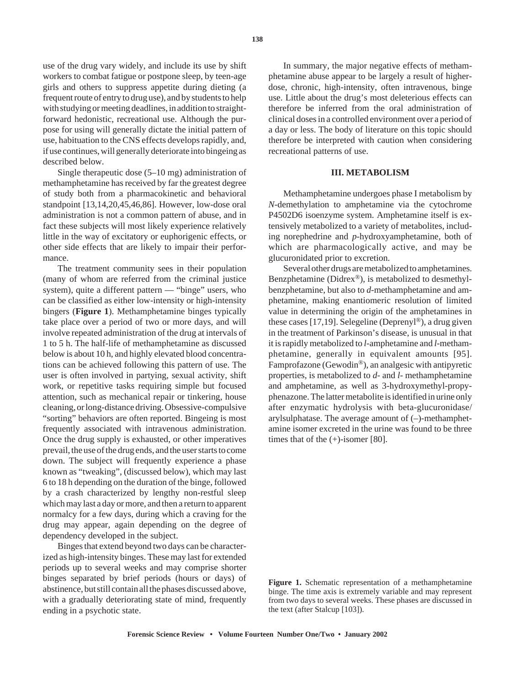use of the drug vary widely, and include its use by shift workers to combat fatigue or postpone sleep, by teen-age girls and others to suppress appetite during dieting (a frequent route of entry to drug use), and by students to help with studying or meeting deadlines, in addition to straightforward hedonistic, recreational use. Although the purpose for using will generally dictate the initial pattern of use, habituation to the CNS effects develops rapidly, and, if use continues, will generally deteriorate into bingeing as described below.

Single therapeutic dose (5–10 mg) administration of methamphetamine has received by far the greatest degree of study both from a pharmacokinetic and behavioral standpoint [13,14,20,45,46,86]. However, low-dose oral administration is not a common pattern of abuse, and in fact these subjects will most likely experience relatively little in the way of excitatory or euphorigenic effects, or other side effects that are likely to impair their performance.

The treatment community sees in their population (many of whom are referred from the criminal justice system), quite a different pattern — "binge" users, who can be classified as either low-intensity or high-intensity bingers (**Figure 1**). Methamphetamine binges typically take place over a period of two or more days, and will involve repeated administration of the drug at intervals of 1 to 5 h. The half-life of methamphetamine as discussed below is about 10 h, and highly elevated blood concentrations can be achieved following this pattern of use. The user is often involved in partying, sexual activity, shift work, or repetitive tasks requiring simple but focused attention, such as mechanical repair or tinkering, house cleaning, or long-distance driving. Obsessive-compulsive "sorting" behaviors are often reported. Bingeing is most frequently associated with intravenous administration. Once the drug supply is exhausted, or other imperatives prevail, the use of the drug ends, and the user starts to come down. The subject will frequently experience a phase known as "tweaking", (discussed below), which may last 6 to 18 h depending on the duration of the binge, followed by a crash characterized by lengthy non-restful sleep which may last a day or more, and then a return to apparent normalcy for a few days, during which a craving for the drug may appear, again depending on the degree of dependency developed in the subject.

Binges that extend beyond two days can be characterized as high-intensity binges. These may last for extended periods up to several weeks and may comprise shorter binges separated by brief periods (hours or days) of abstinence, but still contain all the phases discussed above, with a gradually deteriorating state of mind, frequently ending in a psychotic state.

In summary, the major negative effects of methamphetamine abuse appear to be largely a result of higherdose, chronic, high-intensity, often intravenous, binge use. Little about the drug's most deleterious effects can therefore be inferred from the oral administration of clinical doses in a controlled environment over a period of a day or less. The body of literature on this topic should therefore be interpreted with caution when considering recreational patterns of use.

## **III. METABOLISM**

Methamphetamine undergoes phase I metabolism by *N*-demethylation to amphetamine via the cytochrome P4502D6 isoenzyme system. Amphetamine itself is extensively metabolized to a variety of metabolites, including norephedrine and *p*-hydroxyamphetamine, both of which are pharmacologically active, and may be glucuronidated prior to excretion.

Several other drugs are metabolized to amphetamines. Benzphetamine (Didrex®), is metabolized to desmethylbenzphetamine, but also to *d*-methamphetamine and amphetamine, making enantiomeric resolution of limited value in determining the origin of the amphetamines in these cases [17,19]. Selegeline (Deprenyl<sup>®</sup>), a drug given in the treatment of Parkinson's disease, is unusual in that it is rapidly metabolized to *l*-amphetamine and *l*-methamphetamine, generally in equivalent amounts [95]. Famprofazone (Gewodin®), an analgesic with antipyretic properties, is metabolized to *d*- and *l*- methamphetamine and amphetamine, as well as 3-hydroxymethyl-propyphenazone. The latter metabolite is identified in urine only after enzymatic hydrolysis with beta-glucuronidase/ arylsulphatase. The average amount of (–)-methamphetamine isomer excreted in the urine was found to be three times that of the  $(+)$ -isomer [80].

**Figure 1.** Schematic representation of a methamphetamine binge. The time axis is extremely variable and may represent from two days to several weeks. These phases are discussed in the text (after Stalcup [103]).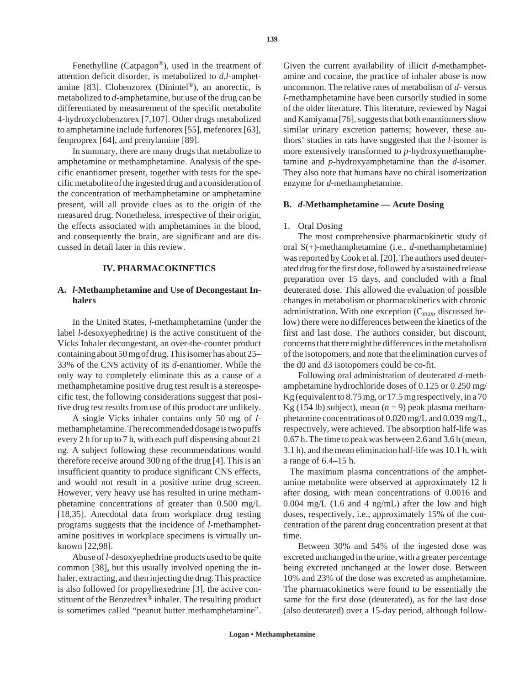Fenethylline (Catpagon®), used in the treatment of attention deficit disorder, is metabolized to *d*,*l*-amphetamine [83]. Clobenzorex (Dinintel®), an anorectic, is metabolized to *d*-amphetamine, but use of the drug can be differentiated by measurement of the specific metabolite 4-hydroxyclobenzorex [7,107]. Other drugs metabolized to amphetamine include furfenorex [55], mefenorex [63], fenproprex [64], and prenylamine [89].

In summary, there are many drugs that metabolize to amphetamine or methamphetamine. Analysis of the specific enantiomer present, together with tests for the specific metabolite of the ingested drug and a consideration of the concentration of methamphetamine or amphetamine present, will all provide clues as to the origin of the measured drug. Nonetheless, irrespective of their origin, the effects associated with amphetamines in the blood, and consequently the brain, are significant and are discussed in detail later in this review.

## **IV. PHARMACOKINETICS**

## **A.** *l***-Methamphetamine and Use of Decongestant Inhalers**

In the United States, *l*-methamphetamine (under the label *l*-desoxyephedrine) is the active constituent of the Vicks Inhaler decongestant, an over-the-counter product containing about 50 mg of drug. This isomer has about 25– 33% of the CNS activity of its *d*-enantiomer. While the only way to completely eliminate this as a cause of a methamphetamine positive drug test result is a stereospecific test, the following considerations suggest that positive drug test results from use of this product are unlikely.

A single Vicks inhaler contains only 50 mg of *l*methamphetamine. The recommended dosage is two puffs every 2 h for up to 7 h, with each puff dispensing about 21 ng. A subject following these recommendations would therefore receive around 300 ng of the drug [4]. This is an insufficient quantity to produce significant CNS effects, and would not result in a positive urine drug screen. However, very heavy use has resulted in urine methamphetamine concentrations of greater than 0.500 mg/L [18,35]. Anecdotal data from workplace drug testing programs suggests that the incidence of *l*-methamphetamine positives in workplace specimens is virtually unknown [22,98].

Abuse of *l*-desoxyephedrine products used to be quite common [38], but this usually involved opening the inhaler, extracting, and then injecting the drug. This practice is also followed for propylhexedrine [3], the active constituent of the Benzedrex® inhaler. The resulting product is sometimes called "peanut butter methamphetamine".

Given the current availability of illicit *d*-methamphetamine and cocaine, the practice of inhaler abuse is now uncommon. The relative rates of metabolism of *d*- versus *l*-methamphetamine have been cursorily studied in some of the older literature. This literature, reviewed by Nagai and Kamiyama [76], suggests that both enantiomers show similar urinary excretion patterns; however, these authors' studies in rats have suggested that the *l*-isomer is more extensively transformed to *p*-hydroxymethamphetamine and *p*-hydroxyamphetamine than the *d*-isomer. They also note that humans have no chiral isomerization enzyme for *d*-methamphetamine.

#### **B.** *d***-Methamphetamine — Acute Dosing**

#### 1. Oral Dosing

The most comprehensive pharmacokinetic study of oral S(+)-methamphetamine (i.e., *d*-methamphetamine) was reported by Cook et al. [20]. The authors used deuterated drug for the first dose, followed by a sustained release preparation over 15 days, and concluded with a final deuterated dose. This allowed the evaluation of possible changes in metabolism or pharmacokinetics with chronic administration. With one exception  $(C_{\text{max}})$ , discussed below) there were no differences between the kinetics of the first and last dose. The authors consider, but discount, concerns that there might be differences in the metabolism of the isotopomers, and note that the elimination curves of the d0 and d3 isotopomers could be co-fit.

Following oral administration of deuterated *d*-methamphetamine hydrochloride doses of 0.125 or 0.250 mg/ Kg (equivalent to 8.75 mg, or 17.5 mg respectively, in a 70 Kg (154 lb) subject), mean  $(n = 9)$  peak plasma methamphetamine concentrations of 0.020 mg/L and 0.039 mg/L, respectively, were achieved. The absorption half-life was 0.67 h. The time to peak was between 2.6 and 3.6 h (mean, 3.1 h), and the mean elimination half-life was 10.1 h, with a range of 6.4–15 h.

The maximum plasma concentrations of the amphetamine metabolite were observed at approximately 12 h after dosing, with mean concentrations of 0.0016 and 0.004 mg/L (1.6 and 4 ng/mL) after the low and high doses, respectively, i.e., approximately 15% of the concentration of the parent drug concentration present at that time.

Between 30% and 54% of the ingested dose was excreted unchanged in the urine, with a greater percentage being excreted unchanged at the lower dose. Between 10% and 23% of the dose was excreted as amphetamine. The pharmacokinetics were found to be essentially the same for the first dose (deuterated), as for the last dose (also deuterated) over a 15-day period, although follow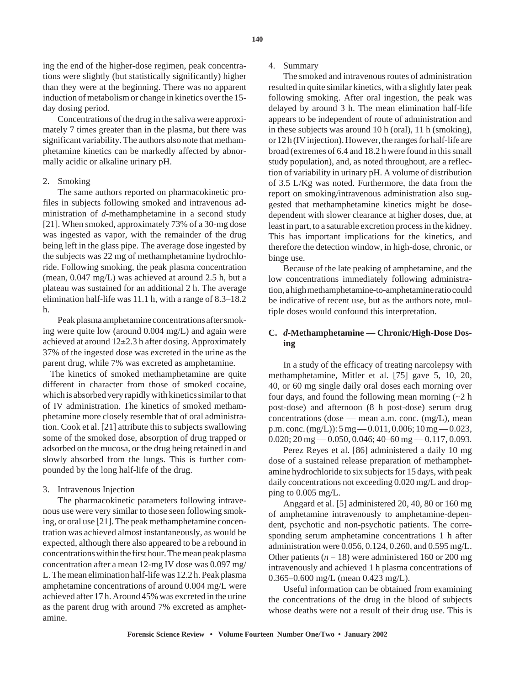ing the end of the higher-dose regimen, peak concentrations were slightly (but statistically significantly) higher than they were at the beginning. There was no apparent induction of metabolism or change in kinetics over the 15 day dosing period.

Concentrations of the drug in the saliva were approximately 7 times greater than in the plasma, but there was significant variability. The authors also note that methamphetamine kinetics can be markedly affected by abnormally acidic or alkaline urinary pH.

#### 2. Smoking

The same authors reported on pharmacokinetic profiles in subjects following smoked and intravenous administration of *d*-methamphetamine in a second study [21]. When smoked, approximately 73% of a 30-mg dose was ingested as vapor, with the remainder of the drug being left in the glass pipe. The average dose ingested by the subjects was 22 mg of methamphetamine hydrochloride. Following smoking, the peak plasma concentration (mean, 0.047 mg/L) was achieved at around 2.5 h, but a plateau was sustained for an additional 2 h. The average elimination half-life was 11.1 h, with a range of 8.3–18.2 h.

Peak plasma amphetamine concentrations after smoking were quite low (around 0.004 mg/L) and again were achieved at around  $12\pm2.3$  h after dosing. Approximately 37% of the ingested dose was excreted in the urine as the parent drug, while 7% was excreted as amphetamine.

The kinetics of smoked methamphetamine are quite different in character from those of smoked cocaine, which is absorbed very rapidly with kinetics similar to that of IV administration. The kinetics of smoked methamphetamine more closely resemble that of oral administration. Cook et al. [21] attribute this to subjects swallowing some of the smoked dose, absorption of drug trapped or adsorbed on the mucosa, or the drug being retained in and slowly absorbed from the lungs. This is further compounded by the long half-life of the drug.

#### 3. Intravenous Injection

The pharmacokinetic parameters following intravenous use were very similar to those seen following smoking, or oral use [21]. The peak methamphetamine concentration was achieved almost instantaneously, as would be expected, although there also appeared to be a rebound in concentrations within the first hour. The mean peak plasma concentration after a mean 12-mg IV dose was 0.097 mg/ L. The mean elimination half-life was 12.2 h. Peak plasma amphetamine concentrations of around 0.004 mg/L were achieved after 17 h. Around 45% was excreted in the urine as the parent drug with around 7% excreted as amphetamine.

### 4. Summary

The smoked and intravenous routes of administration resulted in quite similar kinetics, with a slightly later peak following smoking. After oral ingestion, the peak was delayed by around 3 h. The mean elimination half-life appears to be independent of route of administration and in these subjects was around 10 h (oral), 11 h (smoking), or 12 h (IV injection). However, the ranges for half-life are broad (extremes of 6.4 and 18.2 h were found in this small study population), and, as noted throughout, are a reflection of variability in urinary pH. A volume of distribution of 3.5 L/Kg was noted. Furthermore, the data from the report on smoking/intravenous administration also suggested that methamphetamine kinetics might be dosedependent with slower clearance at higher doses, due, at least in part, to a saturable excretion process in the kidney. This has important implications for the kinetics, and therefore the detection window, in high-dose, chronic, or binge use.

Because of the late peaking of amphetamine, and the low concentrations immediately following administration, a high methamphetamine-to-amphetamine ratio could be indicative of recent use, but as the authors note, multiple doses would confound this interpretation.

## **C.** *d***-Methamphetamine — Chronic/High-Dose Dosing**

In a study of the efficacy of treating narcolepsy with methamphetamine, Mitler et al. [75] gave 5, 10, 20, 40, or 60 mg single daily oral doses each morning over four days, and found the following mean morning  $(\sim 2$  h post-dose) and afternoon (8 h post-dose) serum drug concentrations (dose — mean a.m. conc. (mg/L), mean p.m. conc.  $(mg/L)$ : 5 mg  $-0.011, 0.006$ ; 10 mg  $-0.023$ ,  $0.020$ ;  $20 \text{ mg} - 0.050$ ,  $0.046$ ;  $40 - 60 \text{ mg} - 0.117$ ,  $0.093$ .

Perez Reyes et al. [86] administered a daily 10 mg dose of a sustained release preparation of methamphetamine hydrochloride to six subjects for 15 days, with peak daily concentrations not exceeding 0.020 mg/L and dropping to 0.005 mg/L.

Anggard et al. [5] administered 20, 40, 80 or 160 mg of amphetamine intravenously to amphetamine-dependent, psychotic and non-psychotic patients. The corresponding serum amphetamine concentrations 1 h after administration were 0.056, 0.124, 0.260, and 0.595 mg/L. Other patients ( $n = 18$ ) were administered 160 or 200 mg intravenously and achieved 1 h plasma concentrations of 0.365–0.600 mg/L (mean 0.423 mg/L).

Useful information can be obtained from examining the concentrations of the drug in the blood of subjects whose deaths were not a result of their drug use. This is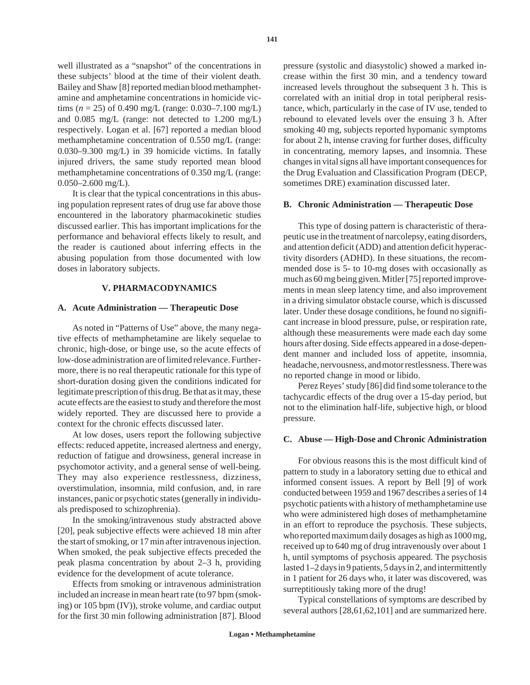well illustrated as a "snapshot" of the concentrations in these subjects' blood at the time of their violent death. Bailey and Shaw [8] reported median blood methamphetamine and amphetamine concentrations in homicide victims ( $n = 25$ ) of 0.490 mg/L (range: 0.030–7.100 mg/L) and 0.085 mg/L (range: not detected to 1.200 mg/L) respectively. Logan et al. [67] reported a median blood methamphetamine concentration of 0.550 mg/L (range: 0.030–9.300 mg/L) in 39 homicide victims. In fatally injured drivers, the same study reported mean blood methamphetamine concentrations of 0.350 mg/L (range:  $0.050 - 2.600$  mg/L).

It is clear that the typical concentrations in this abusing population represent rates of drug use far above those encountered in the laboratory pharmacokinetic studies discussed earlier. This has important implications for the performance and behavioral effects likely to result, and the reader is cautioned about inferring effects in the abusing population from those documented with low doses in laboratory subjects.

## **V. PHARMACODYNAMICS**

#### **A. Acute Administration — Therapeutic Dose**

As noted in "Patterns of Use" above, the many negative effects of methamphetamine are likely sequelae to chronic, high-dose, or binge use, so the acute effects of low-dose administration are of limited relevance. Furthermore, there is no real therapeutic rationale for this type of short-duration dosing given the conditions indicated for legitimate prescription of this drug. Be that as it may, these acute effects are the easiest to study and therefore the most widely reported. They are discussed here to provide a context for the chronic effects discussed later.

At low doses, users report the following subjective effects: reduced appetite, increased alertness and energy, reduction of fatigue and drowsiness, general increase in psychomotor activity, and a general sense of well-being. They may also experience restlessness, dizziness, overstimulation, insomnia, mild confusion, and, in rare instances, panic or psychotic states (generally in individuals predisposed to schizophrenia).

In the smoking/intravenous study abstracted above [20], peak subjective effects were achieved 18 min after the start of smoking, or 17 min after intravenous injection. When smoked, the peak subjective effects preceded the peak plasma concentration by about 2–3 h, providing evidence for the development of acute tolerance.

Effects from smoking or intravenous administration included an increase in mean heart rate (to 97 bpm (smoking) or 105 bpm (IV)), stroke volume, and cardiac output for the first 30 min following administration [87]. Blood

pressure (systolic and diasystolic) showed a marked increase within the first 30 min, and a tendency toward increased levels throughout the subsequent 3 h. This is correlated with an initial drop in total peripheral resistance, which, particularly in the case of IV use, tended to rebound to elevated levels over the ensuing 3 h. After smoking 40 mg, subjects reported hypomanic symptoms for about 2 h, intense craving for further doses, difficulty in concentrating, memory lapses, and insomnia. These changes in vital signs all have important consequences for the Drug Evaluation and Classification Program (DECP, sometimes DRE) examination discussed later.

#### **B. Chronic Administration — Therapeutic Dose**

This type of dosing pattern is characteristic of therapeutic use in the treatment of narcolepsy, eating disorders, and attention deficit (ADD) and attention deficit hyperactivity disorders (ADHD). In these situations, the recommended dose is 5- to 10-mg doses with occasionally as much as 60 mg being given. Mitler [75] reported improvements in mean sleep latency time, and also improvement in a driving simulator obstacle course, which is discussed later. Under these dosage conditions, he found no significant increase in blood pressure, pulse, or respiration rate, although these measurements were made each day some hours after dosing. Side effects appeared in a dose-dependent manner and included loss of appetite, insomnia, headache, nervousness, and motor restlessness. There was no reported change in mood or libido.

Perez Reyes' study [86] did find some tolerance to the tachycardic effects of the drug over a 15-day period, but not to the elimination half-life, subjective high, or blood pressure.

## **C. Abuse — High-Dose and Chronic Administration**

For obvious reasons this is the most difficult kind of pattern to study in a laboratory setting due to ethical and informed consent issues. A report by Bell [9] of work conducted between 1959 and 1967 describes a series of 14 psychotic patients with a history of methamphetamine use who were administered high doses of methamphetamine in an effort to reproduce the psychosis. These subjects, who reported maximum daily dosages as high as 1000 mg, received up to 640 mg of drug intravenously over about 1 h, until symptoms of psychosis appeared. The psychosis lasted 1–2 days in 9 patients, 5 days in 2, and intermittently in 1 patient for 26 days who, it later was discovered, was surreptitiously taking more of the drug!

Typical constellations of symptoms are described by several authors [28,61,62,101] and are summarized here.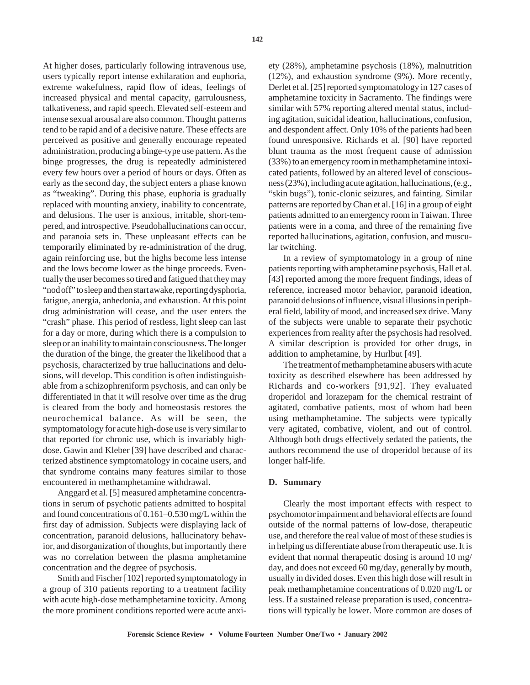At higher doses, particularly following intravenous use, users typically report intense exhilaration and euphoria, extreme wakefulness, rapid flow of ideas, feelings of increased physical and mental capacity, garrulousness, talkativeness, and rapid speech. Elevated self-esteem and intense sexual arousal are also common. Thought patterns tend to be rapid and of a decisive nature. These effects are perceived as positive and generally encourage repeated administration, producing a binge-type use pattern. As the binge progresses, the drug is repeatedly administered every few hours over a period of hours or days. Often as early as the second day, the subject enters a phase known as "tweaking". During this phase, euphoria is gradually replaced with mounting anxiety, inability to concentrate, and delusions. The user is anxious, irritable, short-tempered, and introspective. Pseudohallucinations can occur, and paranoia sets in. These unpleasant effects can be temporarily eliminated by re-administration of the drug, again reinforcing use, but the highs become less intense and the lows become lower as the binge proceeds. Eventually the user becomes so tired and fatigued that they may "nod off" to sleep and then start awake, reporting dysphoria, fatigue, anergia, anhedonia, and exhaustion. At this point drug administration will cease, and the user enters the "crash" phase. This period of restless, light sleep can last for a day or more, during which there is a compulsion to sleep or an inability to maintain consciousness. The longer the duration of the binge, the greater the likelihood that a psychosis, characterized by true hallucinations and delusions, will develop. This condition is often indistinguishable from a schizophreniform psychosis, and can only be differentiated in that it will resolve over time as the drug is cleared from the body and homeostasis restores the neurochemical balance. As will be seen, the symptomatology for acute high-dose use is very similar to that reported for chronic use, which is invariably highdose. Gawin and Kleber [39] have described and characterized abstinence symptomatology in cocaine users, and that syndrome contains many features similar to those encountered in methamphetamine withdrawal.

Anggard et al. [5] measured amphetamine concentrations in serum of psychotic patients admitted to hospital and found concentrations of 0.161–0.530 mg/L within the first day of admission. Subjects were displaying lack of concentration, paranoid delusions, hallucinatory behavior, and disorganization of thoughts, but importantly there was no correlation between the plasma amphetamine concentration and the degree of psychosis.

Smith and Fischer [102] reported symptomatology in a group of 310 patients reporting to a treatment facility with acute high-dose methamphetamine toxicity. Among the more prominent conditions reported were acute anxiety (28%), amphetamine psychosis (18%), malnutrition (12%), and exhaustion syndrome (9%). More recently, Derlet et al. [25] reported symptomatology in 127 cases of amphetamine toxicity in Sacramento. The findings were similar with 57% reporting altered mental status, including agitation, suicidal ideation, hallucinations, confusion, and despondent affect. Only 10% of the patients had been found unresponsive. Richards et al. [90] have reported blunt trauma as the most frequent cause of admission (33%) to an emergency room in methamphetamine intoxicated patients, followed by an altered level of consciousness (23%), including acute agitation, hallucinations, (e.g., "skin bugs"), tonic-clonic seizures, and fainting. Similar patterns are reported by Chan et al. [16] in a group of eight patients admitted to an emergency room in Taiwan. Three patients were in a coma, and three of the remaining five reported hallucinations, agitation, confusion, and muscular twitching.

In a review of symptomatology in a group of nine patients reporting with amphetamine psychosis, Hall et al. [43] reported among the more frequent findings, ideas of reference, increased motor behavior, paranoid ideation, paranoid delusions of influence, visual illusions in peripheral field, lability of mood, and increased sex drive. Many of the subjects were unable to separate their psychotic experiences from reality after the psychosis had resolved. A similar description is provided for other drugs, in addition to amphetamine, by Hurlbut [49].

The treatment of methamphetamine abusers with acute toxicity as described elsewhere has been addressed by Richards and co-workers [91,92]. They evaluated droperidol and lorazepam for the chemical restraint of agitated, combative patients, most of whom had been using methamphetamine. The subjects were typically very agitated, combative, violent, and out of control. Although both drugs effectively sedated the patients, the authors recommend the use of droperidol because of its longer half-life.

#### **D. Summary**

Clearly the most important effects with respect to psychomotor impairment and behavioral effects are found outside of the normal patterns of low-dose, therapeutic use, and therefore the real value of most of these studies is in helping us differentiate abuse from therapeutic use. It is evident that normal therapeutic dosing is around 10 mg/ day, and does not exceed 60 mg/day, generally by mouth, usually in divided doses. Even this high dose will result in peak methamphetamine concentrations of 0.020 mg/L or less. If a sustained release preparation is used, concentrations will typically be lower. More common are doses of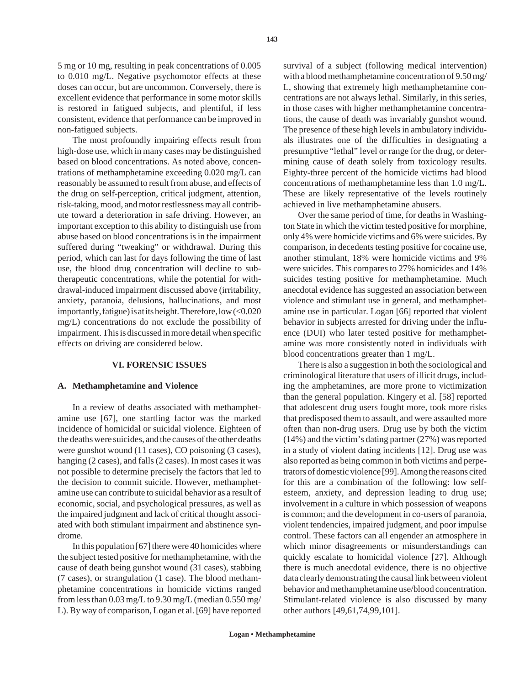The most profoundly impairing effects result from high-dose use, which in many cases may be distinguished based on blood concentrations. As noted above, concentrations of methamphetamine exceeding 0.020 mg/L can reasonably be assumed to result from abuse, and effects of the drug on self-perception, critical judgment, attention, risk-taking, mood, and motor restlessness may all contribute toward a deterioration in safe driving. However, an important exception to this ability to distinguish use from abuse based on blood concentrations is in the impairment suffered during "tweaking" or withdrawal. During this period, which can last for days following the time of last use, the blood drug concentration will decline to subtherapeutic concentrations, while the potential for withdrawal-induced impairment discussed above (irritability, anxiety, paranoia, delusions, hallucinations, and most importantly, fatigue) is at its height. Therefore, low  $\langle 0.020$ mg/L) concentrations do not exclude the possibility of impairment. This is discussed in more detail when specific effects on driving are considered below.

#### **VI. FORENSIC ISSUES**

#### **A. Methamphetamine and Violence**

In a review of deaths associated with methamphetamine use [67], one startling factor was the marked incidence of homicidal or suicidal violence. Eighteen of the deaths were suicides, and the causes of the other deaths were gunshot wound (11 cases), CO poisoning (3 cases), hanging (2 cases), and falls (2 cases). In most cases it was not possible to determine precisely the factors that led to the decision to commit suicide. However, methamphetamine use can contribute to suicidal behavior as a result of economic, social, and psychological pressures, as well as the impaired judgment and lack of critical thought associated with both stimulant impairment and abstinence syndrome.

In this population [67] there were 40 homicides where the subject tested positive for methamphetamine, with the cause of death being gunshot wound (31 cases), stabbing (7 cases), or strangulation (1 case). The blood methamphetamine concentrations in homicide victims ranged from less than  $0.03 \text{ mg/L}$  to  $9.30 \text{ mg/L}$  (median  $0.550 \text{ mg/s}$ ) L). By way of comparison, Logan et al. [69] have reported

survival of a subject (following medical intervention) with a blood methamphetamine concentration of 9.50 mg/ L, showing that extremely high methamphetamine concentrations are not always lethal. Similarly, in this series, in those cases with higher methamphetamine concentrations, the cause of death was invariably gunshot wound. The presence of these high levels in ambulatory individuals illustrates one of the difficulties in designating a presumptive "lethal" level or range for the drug, or determining cause of death solely from toxicology results. Eighty-three percent of the homicide victims had blood concentrations of methamphetamine less than 1.0 mg/L. These are likely representative of the levels routinely achieved in live methamphetamine abusers.

Over the same period of time, for deaths in Washington State in which the victim tested positive for morphine, only 4% were homicide victims and 6% were suicides. By comparison, in decedents testing positive for cocaine use, another stimulant, 18% were homicide victims and 9% were suicides. This compares to 27% homicides and 14% suicides testing positive for methamphetamine. Much anecdotal evidence has suggested an association between violence and stimulant use in general, and methamphetamine use in particular. Logan [66] reported that violent behavior in subjects arrested for driving under the influence (DUI) who later tested positive for methamphetamine was more consistently noted in individuals with blood concentrations greater than 1 mg/L.

There is also a suggestion in both the sociological and criminological literature that users of illicit drugs, including the amphetamines, are more prone to victimization than the general population. Kingery et al. [58] reported that adolescent drug users fought more, took more risks that predisposed them to assault, and were assaulted more often than non-drug users. Drug use by both the victim (14%) and the victim's dating partner (27%) was reported in a study of violent dating incidents [12]. Drug use was also reported as being common in both victims and perpetrators of domestic violence [99]. Among the reasons cited for this are a combination of the following: low selfesteem, anxiety, and depression leading to drug use; involvement in a culture in which possession of weapons is common; and the development in co-users of paranoia, violent tendencies, impaired judgment, and poor impulse control. These factors can all engender an atmosphere in which minor disagreements or misunderstandings can quickly escalate to homicidal violence [27]. Although there is much anecdotal evidence, there is no objective data clearly demonstrating the causal link between violent behavior and methamphetamine use/blood concentration. Stimulant-related violence is also discussed by many other authors [49,61,74,99,101].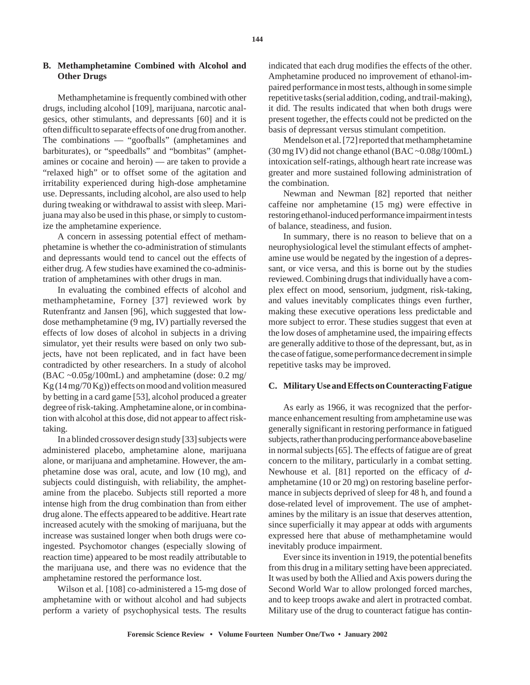Methamphetamine is frequently combined with other drugs, including alcohol [109], marijuana, narcotic analgesics, other stimulants, and depressants [60] and it is often difficult to separate effects of one drug from another. The combinations — "goofballs" (amphetamines and barbiturates), or "speedballs" and "bombitas" (amphetamines or cocaine and heroin) — are taken to provide a "relaxed high" or to offset some of the agitation and irritability experienced during high-dose amphetamine use. Depressants, including alcohol, are also used to help during tweaking or withdrawal to assist with sleep. Marijuana may also be used in this phase, or simply to customize the amphetamine experience.

A concern in assessing potential effect of methamphetamine is whether the co-administration of stimulants and depressants would tend to cancel out the effects of either drug. A few studies have examined the co-administration of amphetamines with other drugs in man.

In evaluating the combined effects of alcohol and methamphetamine, Forney [37] reviewed work by Rutenfrantz and Jansen [96], which suggested that lowdose methamphetamine (9 mg, IV) partially reversed the effects of low doses of alcohol in subjects in a driving simulator, yet their results were based on only two subjects, have not been replicated, and in fact have been contradicted by other researchers. In a study of alcohol  $(BAC \sim 0.05g/100mL)$  and amphetamine (dose: 0.2 mg/ Kg (14 mg/70 Kg)) effects on mood and volition measured by betting in a card game [53], alcohol produced a greater degree of risk-taking. Amphetamine alone, or in combination with alcohol at this dose, did not appear to affect risktaking.

In a blinded crossover design study [33] subjects were administered placebo, amphetamine alone, marijuana alone, or marijuana and amphetamine. However, the amphetamine dose was oral, acute, and low (10 mg), and subjects could distinguish, with reliability, the amphetamine from the placebo. Subjects still reported a more intense high from the drug combination than from either drug alone. The effects appeared to be additive. Heart rate increased acutely with the smoking of marijuana, but the increase was sustained longer when both drugs were coingested. Psychomotor changes (especially slowing of reaction time) appeared to be most readily attributable to the marijuana use, and there was no evidence that the amphetamine restored the performance lost.

Wilson et al. [108] co-administered a 15-mg dose of amphetamine with or without alcohol and had subjects perform a variety of psychophysical tests. The results indicated that each drug modifies the effects of the other. Amphetamine produced no improvement of ethanol-impaired performance in most tests, although in some simple repetitive tasks (serial addition, coding, and trail-making), it did. The results indicated that when both drugs were present together, the effects could not be predicted on the basis of depressant versus stimulant competition.

Mendelson et al. [72] reported that methamphetamine (30 mg IV) did not change ethanol (BAC ~0.08g/100mL) intoxication self-ratings, although heart rate increase was greater and more sustained following administration of the combination.

Newman and Newman [82] reported that neither caffeine nor amphetamine (15 mg) were effective in restoring ethanol-induced performance impairment in tests of balance, steadiness, and fusion.

In summary, there is no reason to believe that on a neurophysiological level the stimulant effects of amphetamine use would be negated by the ingestion of a depressant, or vice versa, and this is borne out by the studies reviewed. Combining drugs that individually have a complex effect on mood, sensorium, judgment, risk-taking, and values inevitably complicates things even further, making these executive operations less predictable and more subject to error. These studies suggest that even at the low doses of amphetamine used, the impairing effects are generally additive to those of the depressant, but, as in the case of fatigue, some performance decrement in simple repetitive tasks may be improved.

## **C. Military Use and Effects on Counteracting Fatigue**

As early as 1966, it was recognized that the performance enhancement resulting from amphetamine use was generally significant in restoring performance in fatigued subjects, rather than producing performance above baseline in normal subjects [65]. The effects of fatigue are of great concern to the military, particularly in a combat setting. Newhouse et al. [81] reported on the efficacy of *d*amphetamine (10 or 20 mg) on restoring baseline performance in subjects deprived of sleep for 48 h, and found a dose-related level of improvement. The use of amphetamines by the military is an issue that deserves attention, since superficially it may appear at odds with arguments expressed here that abuse of methamphetamine would inevitably produce impairment.

Ever since its invention in 1919, the potential benefits from this drug in a military setting have been appreciated. It was used by both the Allied and Axis powers during the Second World War to allow prolonged forced marches, and to keep troops awake and alert in protracted combat. Military use of the drug to counteract fatigue has contin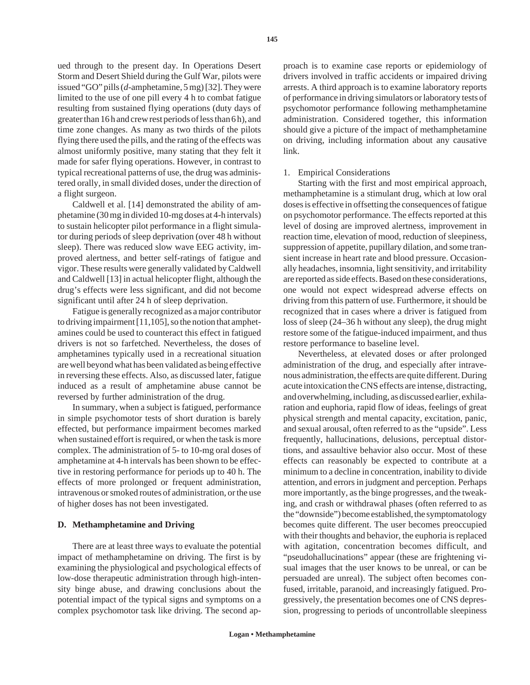ued through to the present day. In Operations Desert Storm and Desert Shield during the Gulf War, pilots were issued "GO" pills (*d*-amphetamine, 5 mg) [32]. They were limited to the use of one pill every 4 h to combat fatigue resulting from sustained flying operations (duty days of greater than 16 h and crew rest periods of less than 6 h), and time zone changes. As many as two thirds of the pilots flying there used the pills, and the rating of the effects was almost uniformly positive, many stating that they felt it made for safer flying operations. However, in contrast to typical recreational patterns of use, the drug was administered orally, in small divided doses, under the direction of a flight surgeon.

Caldwell et al. [14] demonstrated the ability of amphetamine (30 mg in divided 10-mg doses at 4-h intervals) to sustain helicopter pilot performance in a flight simulator during periods of sleep deprivation (over 48 h without sleep). There was reduced slow wave EEG activity, improved alertness, and better self-ratings of fatigue and vigor. These results were generally validated by Caldwell and Caldwell [13] in actual helicopter flight, although the drug's effects were less significant, and did not become significant until after 24 h of sleep deprivation.

Fatigue is generally recognized as a major contributor to driving impairment [11,105], so the notion that amphetamines could be used to counteract this effect in fatigued drivers is not so farfetched. Nevertheless, the doses of amphetamines typically used in a recreational situation are well beyond what has been validated as being effective in reversing these effects. Also, as discussed later, fatigue induced as a result of amphetamine abuse cannot be reversed by further administration of the drug.

In summary, when a subject is fatigued, performance in simple psychomotor tests of short duration is barely effected, but performance impairment becomes marked when sustained effort is required, or when the task is more complex. The administration of 5- to 10-mg oral doses of amphetamine at 4-h intervals has been shown to be effective in restoring performance for periods up to 40 h. The effects of more prolonged or frequent administration, intravenous or smoked routes of administration, or the use of higher doses has not been investigated.

## **D. Methamphetamine and Driving**

There are at least three ways to evaluate the potential impact of methamphetamine on driving. The first is by examining the physiological and psychological effects of low-dose therapeutic administration through high-intensity binge abuse, and drawing conclusions about the potential impact of the typical signs and symptoms on a complex psychomotor task like driving. The second ap-

proach is to examine case reports or epidemiology of drivers involved in traffic accidents or impaired driving arrests. A third approach is to examine laboratory reports of performance in driving simulators or laboratory tests of psychomotor performance following methamphetamine administration. Considered together, this information should give a picture of the impact of methamphetamine on driving, including information about any causative link.

## 1. Empirical Considerations

Starting with the first and most empirical approach, methamphetamine is a stimulant drug, which at low oral doses is effective in offsetting the consequences of fatigue on psychomotor performance. The effects reported at this level of dosing are improved alertness, improvement in reaction time, elevation of mood, reduction of sleepiness, suppression of appetite, pupillary dilation, and some transient increase in heart rate and blood pressure. Occasionally headaches, insomnia, light sensitivity, and irritability are reported as side effects. Based on these considerations, one would not expect widespread adverse effects on driving from this pattern of use. Furthermore, it should be recognized that in cases where a driver is fatigued from loss of sleep (24–36 h without any sleep), the drug might restore some of the fatigue-induced impairment, and thus restore performance to baseline level.

Nevertheless, at elevated doses or after prolonged administration of the drug, and especially after intravenous administration, the effects are quite different. During acute intoxication the CNS effects are intense, distracting, and overwhelming, including, as discussed earlier, exhilaration and euphoria, rapid flow of ideas, feelings of great physical strength and mental capacity, excitation, panic, and sexual arousal, often referred to as the "upside". Less frequently, hallucinations, delusions, perceptual distortions, and assaultive behavior also occur. Most of these effects can reasonably be expected to contribute at a minimum to a decline in concentration, inability to divide attention, and errors in judgment and perception. Perhaps more importantly, as the binge progresses, and the tweaking, and crash or withdrawal phases (often referred to as the "downside") become established, the symptomatology becomes quite different. The user becomes preoccupied with their thoughts and behavior, the euphoria is replaced with agitation, concentration becomes difficult, and "pseudohallucinations" appear (these are frightening visual images that the user knows to be unreal, or can be persuaded are unreal). The subject often becomes confused, irritable, paranoid, and increasingly fatigued. Progressively, the presentation becomes one of CNS depression, progressing to periods of uncontrollable sleepiness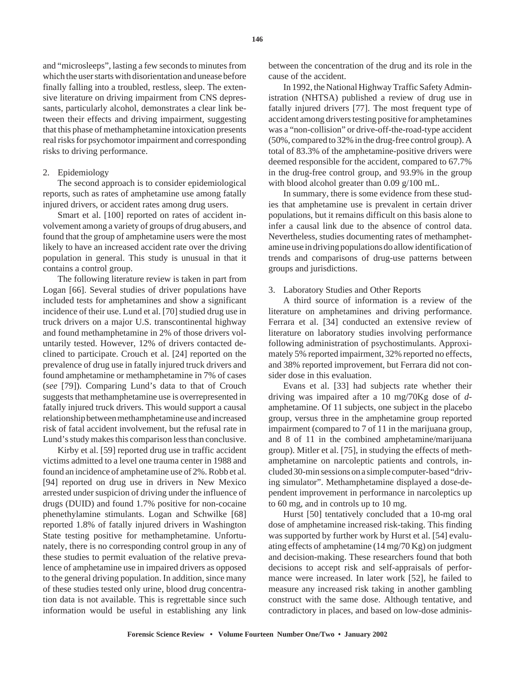and "microsleeps", lasting a few seconds to minutes from which the user starts with disorientation and unease before finally falling into a troubled, restless, sleep. The extensive literature on driving impairment from CNS depressants, particularly alcohol, demonstrates a clear link between their effects and driving impairment, suggesting that this phase of methamphetamine intoxication presents real risks for psychomotor impairment and corresponding risks to driving performance.

## 2. Epidemiology

The second approach is to consider epidemiological reports, such as rates of amphetamine use among fatally injured drivers, or accident rates among drug users.

Smart et al. [100] reported on rates of accident involvement among a variety of groups of drug abusers, and found that the group of amphetamine users were the most likely to have an increased accident rate over the driving population in general. This study is unusual in that it contains a control group.

The following literature review is taken in part from Logan [66]. Several studies of driver populations have included tests for amphetamines and show a significant incidence of their use. Lund et al. [70] studied drug use in truck drivers on a major U.S. transcontinental highway and found methamphetamine in 2% of those drivers voluntarily tested. However, 12% of drivers contacted declined to participate. Crouch et al. [24] reported on the prevalence of drug use in fatally injured truck drivers and found amphetamine or methamphetamine in 7% of cases (*see* [79]). Comparing Lund's data to that of Crouch suggests that methamphetamine use is overrepresented in fatally injured truck drivers. This would support a causal relationship between methamphetamine use and increased risk of fatal accident involvement, but the refusal rate in Lund's study makes this comparison less than conclusive.

Kirby et al. [59] reported drug use in traffic accident victims admitted to a level one trauma center in 1988 and found an incidence of amphetamine use of 2%. Robb et al. [94] reported on drug use in drivers in New Mexico arrested under suspicion of driving under the influence of drugs (DUID) and found 1.7% positive for non-cocaine phenethylamine stimulants. Logan and Schwilke [68] reported 1.8% of fatally injured drivers in Washington State testing positive for methamphetamine. Unfortunately, there is no corresponding control group in any of these studies to permit evaluation of the relative prevalence of amphetamine use in impaired drivers as opposed to the general driving population. In addition, since many of these studies tested only urine, blood drug concentration data is not available. This is regrettable since such information would be useful in establishing any link between the concentration of the drug and its role in the cause of the accident.

In 1992, the National Highway Traffic Safety Administration (NHTSA) published a review of drug use in fatally injured drivers [77]. The most frequent type of accident among drivers testing positive for amphetamines was a "non-collision" or drive-off-the-road-type accident (50%, compared to 32% in the drug-free control group). A total of 83.3% of the amphetamine-positive drivers were deemed responsible for the accident, compared to 67.7% in the drug-free control group, and 93.9% in the group with blood alcohol greater than 0.09 g/100 mL.

In summary, there is some evidence from these studies that amphetamine use is prevalent in certain driver populations, but it remains difficult on this basis alone to infer a causal link due to the absence of control data. Nevertheless, studies documenting rates of methamphetamine use in driving populations do allow identification of trends and comparisons of drug-use patterns between groups and jurisdictions.

#### 3. Laboratory Studies and Other Reports

A third source of information is a review of the literature on amphetamines and driving performance. Ferrara et al. [34] conducted an extensive review of literature on laboratory studies involving performance following administration of psychostimulants. Approximately 5% reported impairment, 32% reported no effects, and 38% reported improvement, but Ferrara did not consider dose in this evaluation.

Evans et al. [33] had subjects rate whether their driving was impaired after a 10 mg/70Kg dose of *d*amphetamine. Of 11 subjects, one subject in the placebo group, versus three in the amphetamine group reported impairment (compared to 7 of 11 in the marijuana group, and 8 of 11 in the combined amphetamine/marijuana group). Mitler et al. [75], in studying the effects of methamphetamine on narcoleptic patients and controls, included 30-min sessions on a simple computer-based "driving simulator". Methamphetamine displayed a dose-dependent improvement in performance in narcoleptics up to 60 mg, and in controls up to 10 mg.

Hurst [50] tentatively concluded that a 10-mg oral dose of amphetamine increased risk-taking. This finding was supported by further work by Hurst et al. [54] evaluating effects of amphetamine (14 mg/70 Kg) on judgment and decision-making. These researchers found that both decisions to accept risk and self-appraisals of performance were increased. In later work [52], he failed to measure any increased risk taking in another gambling construct with the same dose. Although tentative, and contradictory in places, and based on low-dose adminis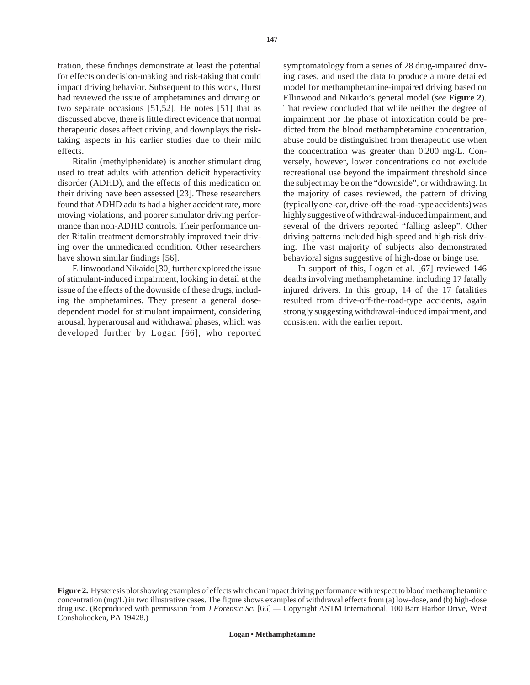tration, these findings demonstrate at least the potential for effects on decision-making and risk-taking that could impact driving behavior. Subsequent to this work, Hurst had reviewed the issue of amphetamines and driving on two separate occasions [51,52]. He notes [51] that as discussed above, there is little direct evidence that normal therapeutic doses affect driving, and downplays the risktaking aspects in his earlier studies due to their mild effects.

Ritalin (methylphenidate) is another stimulant drug used to treat adults with attention deficit hyperactivity disorder (ADHD), and the effects of this medication on their driving have been assessed [23]. These researchers found that ADHD adults had a higher accident rate, more moving violations, and poorer simulator driving performance than non-ADHD controls. Their performance under Ritalin treatment demonstrably improved their driving over the unmedicated condition. Other researchers have shown similar findings [56].

Ellinwood and Nikaido [30] further explored the issue of stimulant-induced impairment, looking in detail at the issue of the effects of the downside of these drugs, including the amphetamines. They present a general dosedependent model for stimulant impairment, considering arousal, hyperarousal and withdrawal phases, which was developed further by Logan [66], who reported

symptomatology from a series of 28 drug-impaired driving cases, and used the data to produce a more detailed model for methamphetamine-impaired driving based on Ellinwood and Nikaido's general model (*see* **Figure 2**). That review concluded that while neither the degree of impairment nor the phase of intoxication could be predicted from the blood methamphetamine concentration, abuse could be distinguished from therapeutic use when the concentration was greater than 0.200 mg/L. Conversely, however, lower concentrations do not exclude recreational use beyond the impairment threshold since the subject may be on the "downside", or withdrawing. In the majority of cases reviewed, the pattern of driving (typically one-car, drive-off-the-road-type accidents) was highly suggestive of withdrawal-induced impairment, and several of the drivers reported "falling asleep". Other driving patterns included high-speed and high-risk driving. The vast majority of subjects also demonstrated behavioral signs suggestive of high-dose or binge use.

In support of this, Logan et al. [67] reviewed 146 deaths involving methamphetamine, including 17 fatally injured drivers. In this group, 14 of the 17 fatalities resulted from drive-off-the-road-type accidents, again strongly suggesting withdrawal-induced impairment, and consistent with the earlier report.

**Figure 2.** Hysteresis plot showing examples of effects which can impact driving performance with respect to blood methamphetamine concentration (mg/L) in two illustrative cases. The figure shows examples of withdrawal effects from (a) low-dose, and (b) high-dose drug use. (Reproduced with permission from *J Forensic Sci* [66] — Copyright ASTM International, 100 Barr Harbor Drive, West Conshohocken, PA 19428.)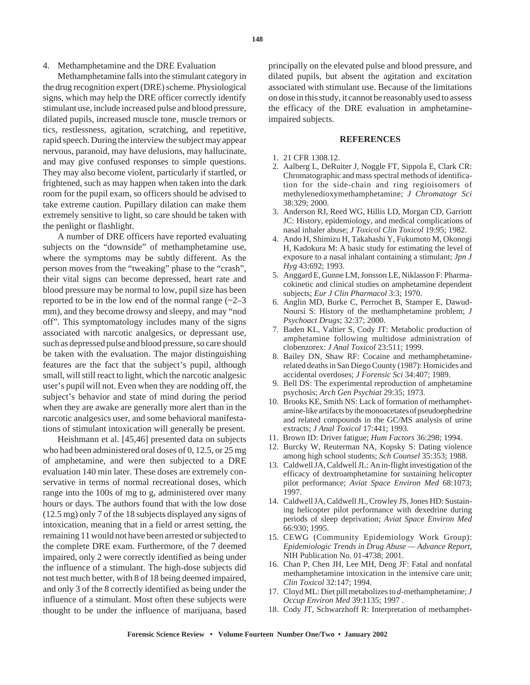### 4. Methamphetamine and the DRE Evaluation

Methamphetamine falls into the stimulant category in the drug recognition expert (DRE) scheme. Physiological signs, which may help the DRE officer correctly identify stimulant use, include increased pulse and blood pressure, dilated pupils, increased muscle tone, muscle tremors or tics, restlessness, agitation, scratching, and repetitive, rapid speech. During the interview the subject may appear nervous, paranoid, may have delusions, may hallucinate, and may give confused responses to simple questions. They may also become violent, particularly if startled, or frightened, such as may happen when taken into the dark room for the pupil exam, so officers should be advised to take extreme caution. Pupillary dilation can make them extremely sensitive to light, so care should be taken with the penlight or flashlight.

A number of DRE officers have reported evaluating subjects on the "downside" of methamphetamine use, where the symptoms may be subtly different. As the person moves from the "tweaking" phase to the "crash", their vital signs can become depressed, heart rate and blood pressure may be normal to low, pupil size has been reported to be in the low end of the normal range  $(-2-3)$ mm), and they become drowsy and sleepy, and may "nod off". This symptomatology includes many of the signs associated with narcotic analgesics, or depressant use, such as depressed pulse and blood pressure, so care should be taken with the evaluation. The major distinguishing features are the fact that the subject's pupil, although small, will still react to light, which the narcotic analgesic user's pupil will not. Even when they are nodding off, the subject's behavior and state of mind during the period when they are awake are generally more alert than in the narcotic analgesics user, and some behavioral manifestations of stimulant intoxication will generally be present.

Heishmann et al. [45,46] presented data on subjects who had been administered oral doses of 0, 12.5, or 25 mg of amphetamine, and were then subjected to a DRE evaluation 140 min later. These doses are extremely conservative in terms of normal recreational doses, which range into the 100s of mg to g, administered over many hours or days. The authors found that with the low dose (12.5 mg) only 7 of the 18 subjects displayed any signs of intoxication, meaning that in a field or arrest setting, the remaining 11 would not have been arrested or subjected to the complete DRE exam. Furthermore, of the 7 deemed impaired, only 2 were correctly identified as being under the influence of a stimulant. The high-dose subjects did not test much better, with 8 of 18 being deemed impaired, and only 3 of the 8 correctly identified as being under the influence of a stimulant. Most often these subjects were thought to be under the influence of marijuana, based principally on the elevated pulse and blood pressure, and dilated pupils, but absent the agitation and excitation associated with stimulant use. Because of the limitations on dose in this study, it cannot be reasonably used to assess the efficacy of the DRE evaluation in amphetamineimpaired subjects.

#### **REFERENCES**

- 1. 21 CFR 1308.12.
- 2. Aalberg L, DeRuiter J, Noggle FT, Sippola E, Clark CR: Chromatographic and mass spectral methods of identification for the side-chain and ring regioisomers of methylenedioxymethamphetamine; *J Chromatogr Sci* 38:329; 2000.
- 3. Anderson RJ, Reed WG, Hillis LD, Morgan CD, Garriott JC: History, epidemiology, and medical complications of nasal inhaler abuse; *J Toxicol Clin Toxicol* 19:95; 1982.
- 4. Ando H, Shimizu H, Takahashi Y, Fukumoto M, Okonogi H, Kadokura M: A basic study for estimating the level of exposure to a nasal inhalant containing a stimulant; *Jpn J Hyg* 43:692; 1993.
- 5. Anggard E, Gunne LM, Jonsson LE, Niklasson F: Pharmacokinetic and clinical studies on amphetamine dependent subjects; *Eur J Clin Pharmacol* 3:3; 1970.
- 6. Anglin MD, Burke C, Perrochet B, Stamper E, Dawud-Noursi S: History of the methamphetamine problem; *J Psychoact Drugs*; 32:37; 2000.
- 7. Baden KL, Valtier S, Cody JT: Metabolic production of amphetamine following multidose administration of clobenzorex: *J Anal Toxicol* 23:511; 1999.
- 8. Bailey DN, Shaw RF: Cocaine and methamphetaminerelated deaths in San Diego County (1987): Homicides and accidental overdoses; *J Forensic Sci* 34:407; 1989.
- 9. Bell DS: The experimental reproduction of amphetamine psychosis; *Arch Gen Psychiat* 29:35; 1973.
- 10. Brooks KE, Smith NS: Lack of formation of methamphetamine-like artifacts by the monoacetates of pseudoephedrine and related compounds in the GC/MS analysis of urine extracts; *J Anal Toxicol* 17:441; 1993.
- 11. Brown ID: Driver fatigue; *Hum Factors* 36:298; 1994.
- 12. Burcky W, Reuterman NA, Kopsky S: Dating violence among high school students; *Sch Counsel* 35:353; 1988.
- 13. Caldwell JA, Caldwell JL: An in-flight investigation of the efficacy of dextroamphetamine for sustaining helicopter pilot performance; *Aviat Space Environ Med* 68:1073; 1997.
- 14. Caldwell JA, Caldwell JL, Crowley JS, Jones HD: Sustaining helicopter pilot performance with dexedrine during periods of sleep deprivation; *Aviat Space Environ Med* 66:930; 1995.
- 15. CEWG (Community Epidemiology Work Group): *Epidemiologic Trends in Drug Abuse — Advance Report*, NIH Publication No. 01-4738; 2001.
- 16. Chan P, Chen JH, Lee MH, Deng JF: Fatal and nonfatal methamphetamine intoxication in the intensive care unit; *Clin Toxicol* 32:147; 1994.
- 17. Cloyd ML: Diet pill metabolizes to *d*-methamphetamine; *J Occup Environ Med* 39:1135; 1997 .
- 18. Cody JT, Schwarzhoff R: Interpretation of methamphet-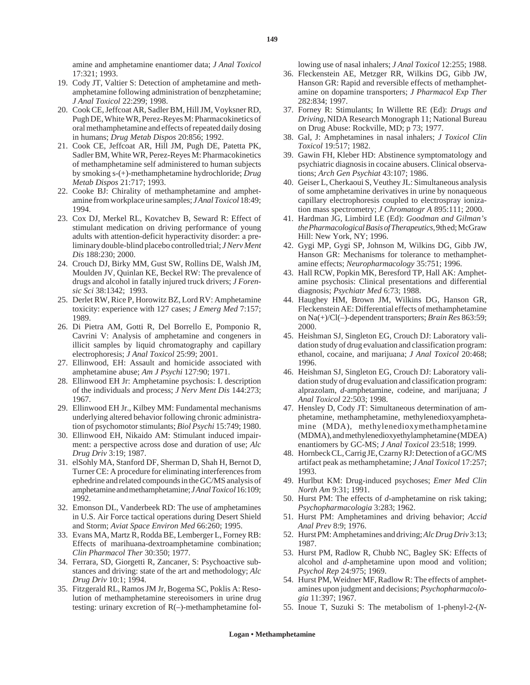amine and amphetamine enantiomer data; *J Anal Toxicol* 17:321; 1993.

- 19. Cody JT, Valtier S: Detection of amphetamine and methamphetamine following administration of benzphetamine; *J Anal Toxicol* 22:299; 1998.
- 20. Cook CE, Jeffcoat AR, Sadler BM, Hill JM, Voyksner RD, Pugh DE, White WR, Perez-Reyes M: Pharmacokinetics of oral methamphetamine and effects of repeated daily dosing in humans; *Drug Metab Dispos* 20:856; 1992.
- 21. Cook CE, Jeffcoat AR, Hill JM, Pugh DE, Patetta PK, Sadler BM, White WR, Perez-Reyes M: Pharmacokinetics of methamphetamine self administered to human subjects by smoking s-(+)-methamphetamine hydrochloride; *Drug Metab Dispos* 21:717; 1993.
- 22. Cooke BJ: Chirality of methamphetamine and amphetamine from workplace urine samples; *J Anal Toxicol*18:49; 1994.
- 23. Cox DJ, Merkel RL, Kovatchev B, Seward R: Effect of stimulant medication on driving performance of young adults with attention-deficit hyperactivity disorder: a preliminary double-blind placebo controlled trial; *J Nerv Ment Dis* 188:230; 2000.
- 24. Crouch DJ, Birky MM, Gust SW, Rollins DE, Walsh JM, Moulden JV, Quinlan KE, Beckel RW: The prevalence of drugs and alcohol in fatally injured truck drivers; *J Forensic Sci* 38:1342; 1993.
- 25. Derlet RW, Rice P, Horowitz BZ, Lord RV: Amphetamine toxicity: experience with 127 cases; *J Emerg Med* 7:157; 1989.
- 26. Di Pietra AM, Gotti R, Del Borrello E, Pomponio R, Cavrini V: Analysis of amphetamine and congeners in illicit samples by liquid chromatography and capillary electrophoresis; *J Anal Toxicol* 25:99; 2001.
- 27. Ellinwood, EH: Assault and homicide associated with amphetamine abuse; *Am J Psychi* 127:90; 1971.
- 28. Ellinwood EH Jr: Amphetamine psychosis: I. description of the individuals and process; *J Nerv Ment Dis* 144:273; 1967.
- 29. Ellinwood EH Jr., Kilbey MM: Fundamental mechanisms underlying altered behavior following chronic administration of psychomotor stimulants; *Biol Psychi* 15:749; 1980.
- 30. Ellinwood EH, Nikaido AM: Stimulant induced impairment: a perspective across dose and duration of use; *Alc Drug Driv* 3:19; 1987.
- 31. elSohly MA, Stanford DF, Sherman D, Shah H, Bernot D, Turner CE: A procedure for eliminating interferences from ephedrine and related compounds in the GC/MS analysis of amphetamine and methamphetamine; *J Anal Toxicol*16:109; 1992.
- 32. Emonson DL, Vanderbeek RD: The use of amphetamines in U.S. Air Force tactical operations during Desert Shield and Storm; *Aviat Space Environ Med* 66:260; 1995.
- 33. Evans MA, Martz R, Rodda BE, Lemberger L, Forney RB: Effects of marihuana-dextroamphetamine combination; *Clin Pharmacol Ther* 30:350; 1977.
- 34. Ferrara, SD, Giorgetti R, Zancaner, S: Psychoactive substances and driving: state of the art and methodology; *Alc Drug Driv* 10:1; 1994.
- 35. Fitzgerald RL, Ramos JM Jr, Bogema SC, Poklis A: Resolution of methamphetamine stereoisomers in urine drug testing: urinary excretion of  $R(-)$ -methamphetamine fol-

lowing use of nasal inhalers; *J Anal Toxicol* 12:255; 1988.

- 36. Fleckenstein AE, Metzger RR, Wilkins DG, Gibb JW, Hanson GR: Rapid and reversible effects of methamphetamine on dopamine transporters; *J Pharmacol Exp Ther* 282:834; 1997.
- 37. Forney R: Stimulants; In Willette RE (Ed): *Drugs and Driving*, NIDA Research Monograph 11; National Bureau on Drug Abuse: Rockville, MD; p 73; 1977.
- 38. Gal, J: Amphetamines in nasal inhalers; *J Toxicol Clin Toxicol* 19:517; 1982.
- 39. Gawin FH, Kleber HD: Abstinence symptomatology and psychiatric diagnosis in cocaine abusers. Clinical observations; *Arch Gen Psychiat* 43:107; 1986.
- 40. Geiser L, Cherkaoui S, Veuthey JL: Simultaneous analysis of some amphetamine derivatives in urine by nonaqueous capillary electrophoresis coupled to electrospray ionization mass spectrometry; *J Chromatogr A* 895:111; 2000.
- 41. Hardman JG, Limbird LE (Ed): *Goodman and Gilman's the Pharmacological Basis of Therapeutics*, 9th ed; McGraw Hill: New York, NY; 1996.
- 42. Gygi MP, Gygi SP, Johnson M, Wilkins DG, Gibb JW, Hanson GR: Mechanisms for tolerance to methamphetamine effects; *Neuropharmacology* 35:751; 1996.
- 43. Hall RCW, Popkin MK, Beresford TP, Hall AK: Amphetamine psychosis: Clinical presentations and differential diagnosis; *Psychiatr Med* 6:73; 1988.
- 44. Haughey HM, Brown JM, Wilkins DG, Hanson GR, Fleckenstein AE: Differential effects of methamphetamine on Na(+)/Cl(–)-dependent transporters; *Brain Res* 863:59; 2000.
- 45. Heishman SJ, Singleton EG, Crouch DJ: Laboratory validation study of drug evaluation and classification program: ethanol, cocaine, and marijuana; *J Anal Toxicol* 20:468; 1996.
- 46. Heishman SJ, Singleton EG, Crouch DJ: Laboratory validation study of drug evaluation and classification program: alprazolam, *d*-amphetamine, codeine, and marijuana; *J Anal Toxicol* 22:503; 1998.
- 47. Hensley D, Cody JT: Simultaneous determination of amphetamine, methamphetamine, methylenedioxyamphetamine (MDA), methylenedioxymethamphetamine (MDMA), and methylenedioxyethylamphetamine (MDEA) enantiomers by GC-MS; *J Anal Toxicol* 23:518; 1999.
- 48. Hornbeck CL, Carrig JE, Czarny RJ: Detection of a GC/MS artifact peak as methamphetamine; *J Anal Toxicol* 17:257; 1993.
- 49. Hurlbut KM: Drug-induced psychoses; *Emer Med Clin North Am* 9:31; 1991.
- 50. Hurst PM: The effects of *d*-amphetamine on risk taking; *Psychopharmacologia* 3:283; 1962.
- 51. Hurst PM: Amphetamines and driving behavior; *Accid Anal Prev* 8:9; 1976.
- 52. Hurst PM: Amphetamines and driving; *Alc Drug Driv*3:13; 1987.
- 53. Hurst PM, Radlow R, Chubb NC, Bagley SK: Effects of alcohol and *d*-amphetamine upon mood and volition; *Psychol Rep* 24:975; 1969.
- 54. Hurst PM, Weidner MF, Radlow R: The effects of amphetamines upon judgment and decisions; *Psychopharmacologia* 11:397; 1967.
- 55. Inoue T, Suzuki S: The metabolism of 1-phenyl-2-(*N*-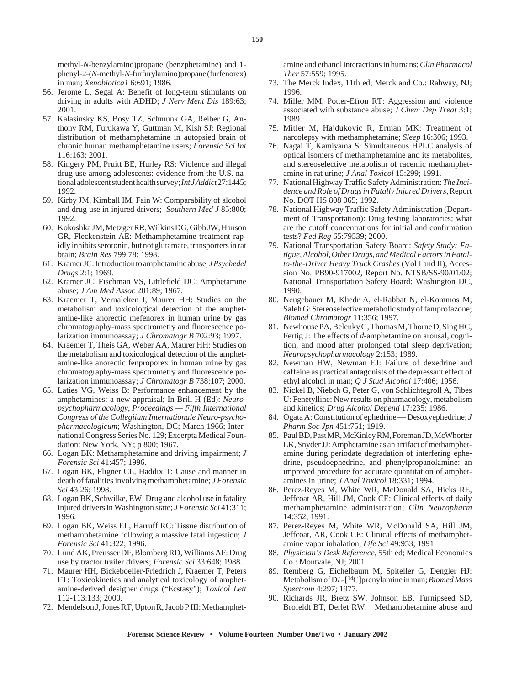methyl-*N*-benzylamino)propane (benzphetamine) and 1 phenyl-2-(*N*-methyl-*N*-furfurylamino)propane (furfenorex) in man; *Xenobiotica1* 6:691; 1986.

- 56. Jerome L, Segal A: Benefit of long-term stimulants on driving in adults with ADHD; *J Nerv Ment Dis* 189:63; 2001.
- 57. Kalasinsky KS, Bosy TZ, Schmunk GA, Reiber G, Anthony RM, Furukawa Y, Guttman M, Kish SJ: Regional distribution of methamphetamine in autopsied brain of chronic human methamphetamine users; *Forensic Sci Int* 116:163; 2001.
- 58. Kingery PM, Pruitt BE, Hurley RS: Violence and illegal drug use among adolescents: evidence from the U.S. national adolescent student health survey; *Int J Addict*27:1445; 1992.
- 59. Kirby JM, Kimball IM, Fain W: Comparability of alcohol and drug use in injured drivers; *Southern Med J* 85:800; 1992.
- 60. Kokoshka JM, Metzger RR, Wilkins DG, Gibb JW, Hanson GR, Fleckenstein AE: Methamphetamine treatment rapidly inhibits serotonin, but not glutamate, transporters in rat brain; *Brain Res* 799:78; 1998.
- 61. Kramer JC: Introduction to amphetamine abuse; *J Psychedel Drugs* 2:1; 1969.
- 62. Kramer JC, Fischman VS, Littlefield DC: Amphetamine abuse; *J Am Med Assoc* 201:89; 1967.
- 63. Kraemer T, Vernaleken I, Maurer HH: Studies on the metabolism and toxicological detection of the amphetamine-like anorectic mefenorex in human urine by gas chromatography-mass spectrometry and fluorescence polarization immunoassay; *J Chromatogr B* 702:93; 1997.
- 64. Kraemer T, Theis GA, Weber AA, Maurer HH: Studies on the metabolism and toxicological detection of the amphetamine-like anorectic fenproporex in human urine by gas chromatography-mass spectrometry and fluorescence polarization immunoassay; *J Chromatogr B* 738:107; 2000.
- 65. Laties VG, Weiss B: Performance enhancement by the amphetamines: a new appraisal; In Brill H (Ed): *Neuropsychopharmacology*, *Proceedings — Fifth International Congress of the Collegiium Internationale Neuro-psychopharmacologicum*; Washington, DC; March 1966; International Congress Series No. 129; Excerpta Medical Foundation: New York, NY; p 800; 1967.
- 66. Logan BK: Methamphetamine and driving impairment; *J Forensic Sci* 41:457; 1996.
- 67. Logan BK, Fligner CL, Haddix T: Cause and manner in death of fatalities involving methamphetamine; *J Forensic Sci* 43:26; 1998.
- 68. Logan BK, Schwilke, EW: Drug and alcohol use in fatality injured drivers in Washington state; *J Forensic Sci* 41:311; 1996.
- 69. Logan BK, Weiss EL, Harruff RC: Tissue distribution of methamphetamine following a massive fatal ingestion; *J Forensic Sci* 41:322; 1996.
- 70. Lund AK, Preusser DF, Blomberg RD, Williams AF: Drug use by tractor trailer drivers; *Forensic Sci* 33:648; 1988.
- 71. Maurer HH, Bickeboeller-Friedrich J, Kraemer T, Peters FT: Toxicokinetics and analytical toxicology of amphetamine-derived designer drugs ("Ecstasy"); *Toxicol Lett* 112-113:133; 2000.
- 72. Mendelson J, Jones RT, Upton R, Jacob P III: Methamphet-

amine and ethanol interactions in humans; *Clin Pharmacol Ther* 57:559; 1995.

- 73. The Merck Index, 11th ed; Merck and Co.: Rahway, NJ; 1996.
- 74. Miller MM, Potter-Efron RT: Aggression and violence associated with substance abuse; *J Chem Dep Treat* 3:1; 1989.
- 75. Mitler M, Hajdukovic R, Erman MK: Treatment of narcolepsy with methamphetamine; *Sleep* 16:306; 1993.
- 76. Nagai T, Kamiyama S: Simultaneous HPLC analysis of optical isomers of methamphetamine and its metabolites, and stereoselective metabolism of racemic methamphetamine in rat urine; *J Anal Toxicol* 15:299; 1991.
- 77. National Highway Traffic Safety Administration: *The Incidence and Role of Drugs in Fatally Injured Drivers,*Report No. DOT HS 808 065; 1992.
- 78. National Highway Traffic Safety Administration (Department of Transportation): Drug testing laboratories; what are the cutoff concentrations for initial and confirmation tests? *Fed Reg* 65:79539; 2000.
- 79. National Transportation Safety Board: *Safety Study: Fatigue, Alcohol, Other Drugs, and Medical Factors in Fatalto-the-Driver Heavy Truck Crashes* (Vol I and II), Accession No. PB90-917002, Report No. NTSB/SS-90/01/02; National Transportation Safety Board: Washington DC, 1990.
- 80. Neugebauer M, Khedr A, el-Rabbat N, el-Kommos M, Saleh G: Stereoselective metabolic study of famprofazone; *Biomed Chromatogr* 11:356; 1997.
- 81. Newhouse PA, Belenky G, Thomas M, Thorne D, Sing HC, Fertig J: The effects of *d*-amphetamine on arousal, cognition, and mood after prolonged total sleep deprivation; *Neuropsychopharmacology* 2:153; 1989.
- 82. Newman HW, Newman EJ: Failure of dexedrine and caffeine as practical antagonists of the depressant effect of ethyl alcohol in man; *Q J Stud Alcohol* 17:406; 1956.
- 83. Nickel B, Niebch G, Peter G, von Schlichtegroll A, Tibes U: Fenetylline: New results on pharmacology, metabolism and kinetics; *Drug Alcohol Depend* 17:235; 1986.
- 84. Ogata A: Constitution of ephedrine Desoxyephedrine; *J Pharm Soc Jpn* 451:751; 1919.
- 85. Paul BD, Past MR, McKinley RM, Foreman JD, McWhorter LK, Snyder JJ: Amphetamine as an artifact of methamphetamine during periodate degradation of interfering ephedrine, pseudoephedrine, and phenylpropanolamine: an improved procedure for accurate quantitation of amphetamines in urine; *J Anal Toxicol* 18:331; 1994.
- 86. Perez-Reyes M, White WR, McDonald SA, Hicks RE, Jeffcoat AR, Hill JM, Cook CE: Clinical effects of daily methamphetamine administration; *Clin Neuropharm* 14:352; 1991.
- 87. Perez-Reyes M, White WR, McDonald SA, Hill JM, Jeffcoat, AR, Cook CE: Clinical effects of methamphetamine vapor inhalation; *Life Sci* 49:953; 1991.
- 88. *Physician's Desk Reference*, 55th ed; Medical Economics Co.: Montvale, NJ; 2001.
- 89. Remberg G, Eichelbaum M, Spiteller G, Dengler HJ: Metabolism of D*L*-[14C]prenylamine in man; *Biomed Mass Spectrom* 4:297; 1977.
- 90. Richards JR, Bretz SW, Johnson EB, Turnipseed SD, Brofeldt BT, Derlet RW: Methamphetamine abuse and